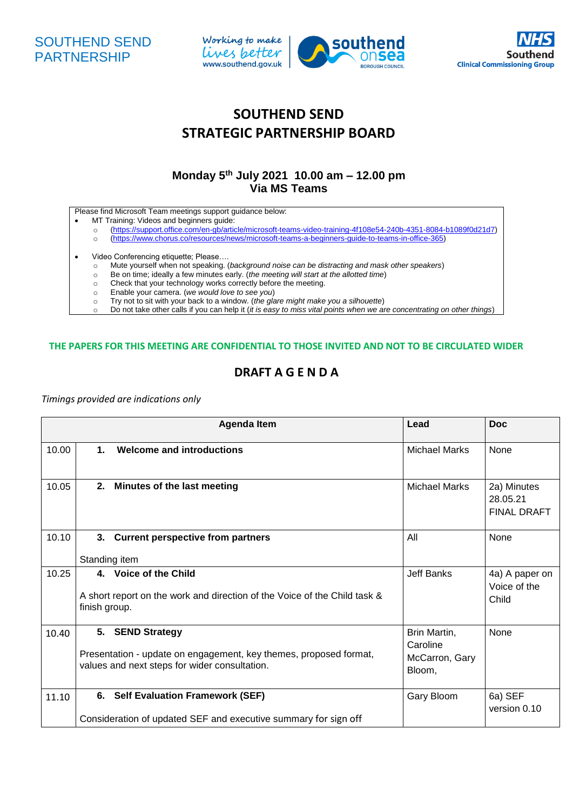





# **SOUTHEND SEND STRATEGIC PARTNERSHIP BOARD**

### **Monday 5 th July 2021 10.00 am – 12.00 pm Via MS Teams**

Please find Microsoft Team meetings support guidance below:

- MT Training: Videos and beginners guide:
	- o [\(https://support.office.com/en-gb/article/microsoft-teams-video-training-4f108e54-240b-4351-8084-b1089f0d21d7\)](https://support.office.com/en-gb/article/microsoft-teams-video-training-4f108e54-240b-4351-8084-b1089f0d21d7)
	- o [\(https://www.chorus.co/resources/news/microsoft-teams-a-beginners-guide-to-teams-in-office-365\)](https://www.chorus.co/resources/news/microsoft-teams-a-beginners-guide-to-teams-in-office-365)
- 
- Video Conferencing etiquette; Please....<br>
o Mute yourself when not speaking. Mute yourself when not speaking. (*background noise can be distracting and mask other speakers*)
	- o Be on time; ideally a few minutes early. (*the meeting will start at the allotted time*)
	- o Check that your technology works correctly before the meeting.
	- o Enable your camera. (*we would love to see you*)
	- o Try not to sit with your back to a window. (*the glare might make you a silhouette*)
	- o Do not take other calls if you can help it (*it is easy to miss vital points when we are concentrating on other things*)

#### **THE PAPERS FOR THIS MEETING ARE CONFIDENTIAL TO THOSE INVITED AND NOT TO BE CIRCULATED WIDER**

## **DRAFT A G E N D A**

#### *Timings provided are indications only*

|       |                                                                                                                                        | <b>Agenda Item</b>                                                                                        | Lead                                                 | <b>Doc</b>                                    |
|-------|----------------------------------------------------------------------------------------------------------------------------------------|-----------------------------------------------------------------------------------------------------------|------------------------------------------------------|-----------------------------------------------|
| 10.00 | $\mathbf 1$ .                                                                                                                          | Welcome and introductions                                                                                 | Michael Marks                                        | None                                          |
| 10.05 | 2.                                                                                                                                     | Minutes of the last meeting                                                                               | <b>Michael Marks</b>                                 | 2a) Minutes<br>28.05.21<br><b>FINAL DRAFT</b> |
| 10.10 | 3.<br>Standing item                                                                                                                    | <b>Current perspective from partners</b>                                                                  | All                                                  | None                                          |
| 10.25 | 4. Voice of the Child<br>A short report on the work and direction of the Voice of the Child task &<br>finish group.                    |                                                                                                           | <b>Jeff Banks</b>                                    | 4a) A paper on<br>Voice of the<br>Child       |
| 10.40 | 5. SEND Strategy<br>Presentation - update on engagement, key themes, proposed format,<br>values and next steps for wider consultation. |                                                                                                           | Brin Martin,<br>Caroline<br>McCarron, Gary<br>Bloom, | <b>None</b>                                   |
| 11.10 | 6.                                                                                                                                     | <b>Self Evaluation Framework (SEF)</b><br>Consideration of updated SEF and executive summary for sign off | Gary Bloom                                           | 6a) SEF<br>version 0.10                       |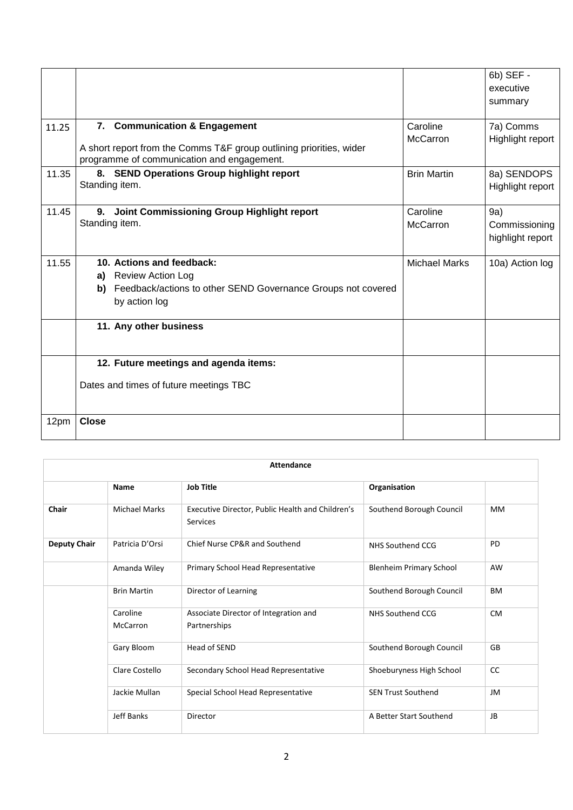|       |                                                                                                                                                 |                      | 6b) SEF -<br>executive<br>summary        |
|-------|-------------------------------------------------------------------------------------------------------------------------------------------------|----------------------|------------------------------------------|
| 11.25 | 7. Communication & Engagement<br>A short report from the Comms T&F group outlining priorities, wider                                            | Caroline<br>McCarron | 7a) Comms<br>Highlight report            |
|       | programme of communication and engagement.                                                                                                      |                      |                                          |
| 11.35 | 8. SEND Operations Group highlight report<br>Standing item.                                                                                     | <b>Brin Martin</b>   | 8a) SENDOPS<br>Highlight report          |
| 11.45 | Joint Commissioning Group Highlight report<br>9.<br>Standing item.                                                                              | Caroline<br>McCarron | 9a)<br>Commissioning<br>highlight report |
| 11.55 | 10. Actions and feedback:<br><b>Review Action Log</b><br>a)<br>b) Feedback/actions to other SEND Governance Groups not covered<br>by action log | <b>Michael Marks</b> | 10a) Action log                          |
|       | 11. Any other business                                                                                                                          |                      |                                          |
|       | 12. Future meetings and agenda items:                                                                                                           |                      |                                          |
|       | Dates and times of future meetings TBC                                                                                                          |                      |                                          |
| 12pm  | <b>Close</b>                                                                                                                                    |                      |                                          |

| <b>Attendance</b>   |                             |                                                              |                                |           |  |
|---------------------|-----------------------------|--------------------------------------------------------------|--------------------------------|-----------|--|
|                     | <b>Name</b>                 | <b>Job Title</b>                                             | Organisation                   |           |  |
| Chair               | <b>Michael Marks</b>        | Executive Director, Public Health and Children's<br>Services | Southend Borough Council       | MМ        |  |
| <b>Deputy Chair</b> | Patricia D'Orsi             | Chief Nurse CP&R and Southend                                | <b>NHS Southend CCG</b>        | PD        |  |
|                     | Amanda Wiley                | Primary School Head Representative                           | <b>Blenheim Primary School</b> | AW        |  |
|                     | <b>Brin Martin</b>          | Director of Learning                                         | Southend Borough Council       | BM        |  |
|                     | Caroline<br><b>McCarron</b> | Associate Director of Integration and<br>Partnerships        | NHS Southend CCG               | <b>CM</b> |  |
|                     | Gary Bloom                  | Head of SEND                                                 | Southend Borough Council       | GB        |  |
|                     | Clare Costello              | Secondary School Head Representative                         | Shoeburyness High School       | CC        |  |
|                     | Jackie Mullan               | Special School Head Representative                           | <b>SEN Trust Southend</b>      | JM        |  |
|                     | <b>Jeff Banks</b>           | Director                                                     | A Better Start Southend        | JB        |  |